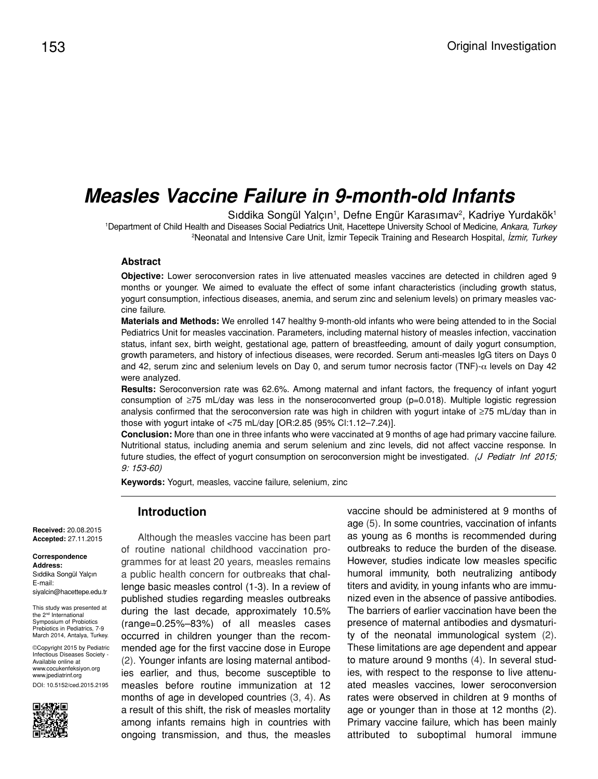# *Measles Vaccine Failure in 9-month-old Infants*

Sıddika Songül Yalçın<sup>1</sup>, Defne Engür Karasımav<sup>2</sup>, Kadriye Yurdakök<sup>1</sup> 1 Department of Child Health and Diseases Social Pediatrics Unit, Hacettepe University School of Medicine, *Ankara, Turkey* 2 Neonatal and Intensive Care Unit, İzmir Tepecik Training and Research Hospital, *İzmir, Turkey*

#### **Abstract**

**Objective:** Lower seroconversion rates in live attenuated measles vaccines are detected in children aged 9 months or younger. We aimed to evaluate the effect of some infant characteristics (including growth status, yogurt consumption, infectious diseases, anemia, and serum zinc and selenium levels) on primary measles vaccine failure.

**Materials and Methods:** We enrolled 147 healthy 9-month-old infants who were being attended to in the Social Pediatrics Unit for measles vaccination. Parameters, including maternal history of measles infection, vaccination status, infant sex, birth weight, gestational age, pattern of breastfeeding, amount of daily yogurt consumption, growth parameters, and history of infectious diseases, were recorded. Serum anti-measles IgG titers on Days 0 and 42, serum zinc and selenium levels on Day 0, and serum tumor necrosis factor (TNF)-α levels on Day 42 were analyzed.

**Results:** Seroconversion rate was 62.6%. Among maternal and infant factors, the frequency of infant yogurt consumption of ≥75 mL/day was less in the nonseroconverted group (p=0.018). Multiple logistic regression analysis confirmed that the seroconversion rate was high in children with yogurt intake of ≥75 mL/day than in those with yogurt intake of <75 mL/day [OR:2.85 (95% Cl:1.12–7.24)].

**Conclusion:** More than one in three infants who were vaccinated at 9 months of age had primary vaccine failure. Nutritional status, including anemia and serum selenium and zinc levels, did not affect vaccine response. In future studies, the effect of yogurt consumption on seroconversion might be investigated. (J Pediatr Inf 2015; 9: 153-60)

**Keywords:** Yogurt, measles, vaccine failure, selenium, zinc

**Introduction**

**Received:** 20.08.2015 **Accepted:** 27.11.2015

#### **Correspondence Address:** Sıddika Songül Yalçın

E-mail: siyalcin@hacettepe.edu.tr

This study was presented at the 2nd International Symposium of Probiotics Prebiotics in Pediatrics, 7-9 March 2014, Antalya, Turkey.

©Copyright 2015 by Pediatric Infectious Diseases Society - Available online at www.cocukenfeksiyon.org www.jpediatrinf.org DOI: 10.5152/ced.2015.2195



Although the measles vaccine has been part of routine national childhood vaccination programmes for at least 20 years, measles remains a public health concern for outbreaks that challenge basic measles control (1-3). In a review of published studies regarding measles outbreaks during the last decade, approximately 10.5% (range=0.25%–83%) of all measles cases occurred in children younger than the recommended age for the first vaccine dose in Europe (2). Younger infants are losing maternal antibodies earlier, and thus, become susceptible to measles before routine immunization at 12 months of age in developed countries (3, 4). As a result of this shift, the risk of measles mortality among infants remains high in countries with ongoing transmission, and thus, the measles

vaccine should be administered at 9 months of age (5). In some countries, vaccination of infants as young as 6 months is recommended during outbreaks to reduce the burden of the disease. However, studies indicate low measles specific humoral immunity, both neutralizing antibody titers and avidity, in young infants who are immunized even in the absence of passive antibodies. The barriers of earlier vaccination have been the presence of maternal antibodies and dysmaturity of the neonatal immunological system (2). These limitations are age dependent and appear to mature around 9 months (4). In several studies, with respect to the response to live attenuated measles vaccines, lower seroconversion rates were observed in children at 9 months of age or younger than in those at 12 months (2). Primary vaccine failure, which has been mainly attributed to suboptimal humoral immune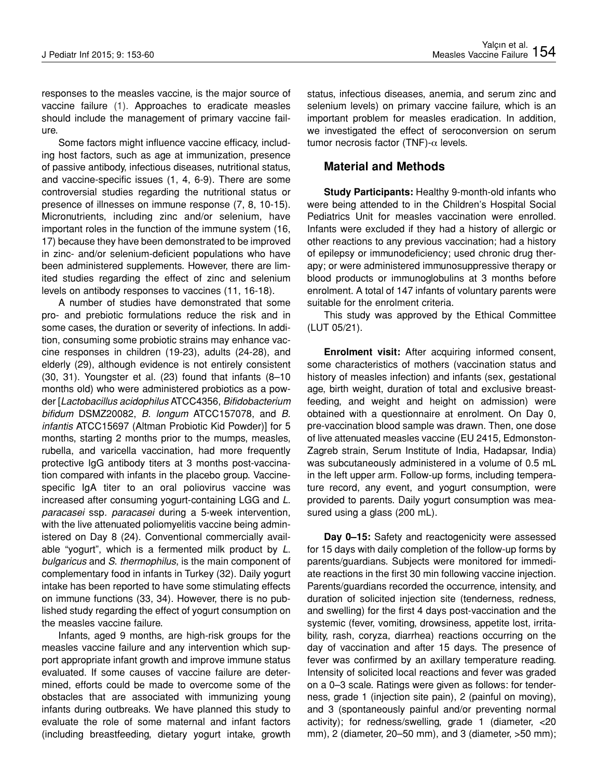responses to the measles vaccine, is the major source of vaccine failure (1). Approaches to eradicate measles should include the management of primary vaccine failure.

Some factors might influence vaccine efficacy, including host factors, such as age at immunization, presence of passive antibody, infectious diseases, nutritional status, and vaccine-specific issues (1, 4, 6-9). There are some controversial studies regarding the nutritional status or presence of illnesses on immune response (7, 8, 10-15). Micronutrients, including zinc and/or selenium, have important roles in the function of the immune system (16, 17) because they have been demonstrated to be improved in zinc- and/or selenium-deficient populations who have been administered supplements. However, there are limited studies regarding the effect of zinc and selenium levels on antibody responses to vaccines (11, 16-18).

A number of studies have demonstrated that some pro- and prebiotic formulations reduce the risk and in some cases, the duration or severity of infections. In addition, consuming some probiotic strains may enhance vaccine responses in children (19-23), adults (24-28), and elderly (29), although evidence is not entirely consistent (30, 31). Youngster et al. (23) found that infants (8–10 months old) who were administered probiotics as a powder [*Lactobacillus acidophilus* ATCC4356, *Bifidobacterium bifidum* DSMZ20082, *B*. *longum* ATCC157078, and *B*. *infantis* ATCC15697 (Altman Probiotic Kid Powder)] for 5 months, starting 2 months prior to the mumps, measles, rubella, and varicella vaccination, had more frequently protective IgG antibody titers at 3 months post-vaccination compared with infants in the placebo group. Vaccinespecific IgA titer to an oral poliovirus vaccine was increased after consuming yogurt-containing LGG and *L*. *paracasei* ssp*. paracasei* during a 5-week intervention, with the live attenuated poliomyelitis vaccine being administered on Day 8 (24). Conventional commercially available "yogurt", which is a fermented milk product by *L*. *bulgaricus* and *S*. *thermophilus*, is the main component of complementary food in infants in Turkey (32). Daily yogurt intake has been reported to have some stimulating effects on immune functions (33, 34). However, there is no published study regarding the effect of yogurt consumption on the measles vaccine failure.

Infants, aged 9 months, are high-risk groups for the measles vaccine failure and any intervention which support appropriate infant growth and improve immune status evaluated. If some causes of vaccine failure are determined, efforts could be made to overcome some of the obstacles that are associated with immunizing young infants during outbreaks. We have planned this study to evaluate the role of some maternal and infant factors (including breastfeeding, dietary yogurt intake, growth status, infectious diseases, anemia, and serum zinc and selenium levels) on primary vaccine failure, which is an important problem for measles eradication. In addition, we investigated the effect of seroconversion on serum tumor necrosis factor (TNF)- $α$  levels.

## **Material and Methods**

**Study Participants:** Healthy 9-month-old infants who were being attended to in the Children's Hospital Social Pediatrics Unit for measles vaccination were enrolled. Infants were excluded if they had a history of allergic or other reactions to any previous vaccination; had a history of epilepsy or immunodeficiency; used chronic drug therapy; or were administered immunosuppressive therapy or blood products or immunoglobulins at 3 months before enrolment. A total of 147 infants of voluntary parents were suitable for the enrolment criteria.

This study was approved by the Ethical Committee (LUT 05/21).

**Enrolment visit:** After acquiring informed consent, some characteristics of mothers (vaccination status and history of measles infection) and infants (sex, gestational age, birth weight, duration of total and exclusive breastfeeding, and weight and height on admission) were obtained with a questionnaire at enrolment. On Day 0, pre-vaccination blood sample was drawn. Then, one dose of live attenuated measles vaccine (EU 2415, Edmonston-Zagreb strain, Serum Institute of India, Hadapsar, India) was subcutaneously administered in a volume of 0.5 mL in the left upper arm. Follow-up forms, including temperature record, any event, and yogurt consumption, were provided to parents. Daily yogurt consumption was measured using a glass (200 mL).

**Day 0–15:** Safety and reactogenicity were assessed for 15 days with daily completion of the follow-up forms by parents/guardians. Subjects were monitored for immediate reactions in the first 30 min following vaccine injection. Parents/guardians recorded the occurrence, intensity, and duration of solicited injection site (tenderness, redness, and swelling) for the first 4 days post-vaccination and the systemic (fever, vomiting, drowsiness, appetite lost, irritability, rash, coryza, diarrhea) reactions occurring on the day of vaccination and after 15 days. The presence of fever was confirmed by an axillary temperature reading. Intensity of solicited local reactions and fever was graded on a 0–3 scale. Ratings were given as follows: for tenderness, grade 1 (injection site pain), 2 (painful on moving), and 3 (spontaneously painful and/or preventing normal activity); for redness/swelling, grade 1 (diameter, <20 mm), 2 (diameter, 20–50 mm), and 3 (diameter, >50 mm);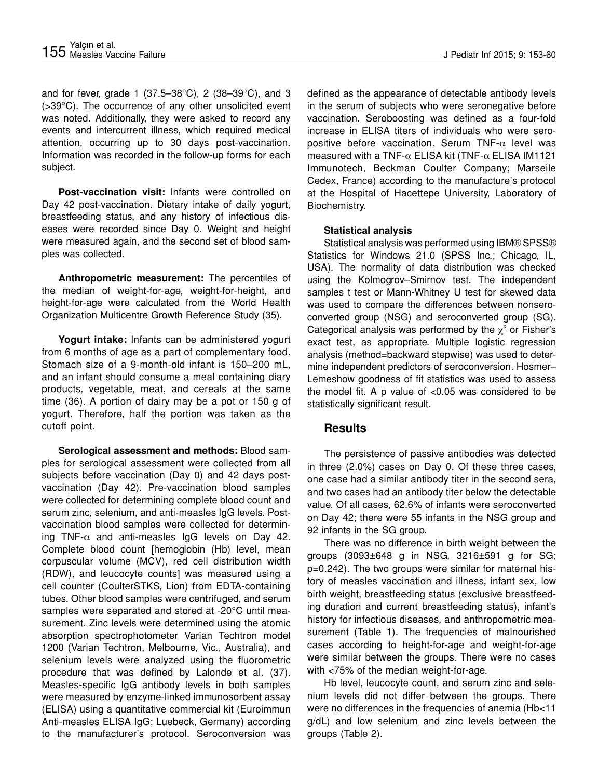and for fever, grade 1 (37.5–38°C), 2 (38–39°C), and 3 (>39°C). The occurrence of any other unsolicited event was noted. Additionally, they were asked to record any events and intercurrent illness, which required medical attention, occurring up to 30 days post-vaccination. Information was recorded in the follow-up forms for each subject.

**Post-vaccination visit:** Infants were controlled on Day 42 post-vaccination. Dietary intake of daily yogurt, breastfeeding status, and any history of infectious diseases were recorded since Day 0. Weight and height were measured again, and the second set of blood samples was collected.

**Anthropometric measurement:** The percentiles of the median of weight-for-age, weight-for-height, and height-for-age were calculated from the World Health Organization Multicentre Growth Reference Study (35).

**Yogurt intake:** Infants can be administered yogurt from 6 months of age as a part of complementary food. Stomach size of a 9-month-old infant is 150–200 mL, and an infant should consume a meal containing diary products, vegetable, meat, and cereals at the same time (36). A portion of dairy may be a pot or 150 g of yogurt. Therefore, half the portion was taken as the cutoff point.

**Serological assessment and methods:** Blood samples for serological assessment were collected from all subjects before vaccination (Day 0) and 42 days postvaccination (Day 42). Pre-vaccination blood samples were collected for determining complete blood count and serum zinc, selenium, and anti-measles IgG levels. Postvaccination blood samples were collected for determining TNF- $\alpha$  and anti-measles IgG levels on Day 42. Complete blood count [hemoglobin (Hb) level, mean corpuscular volume (MCV), red cell distribution width (RDW), and leucocyte counts] was measured using a cell counter (CoulterSTKS, Lion) from EDTA-containing tubes. Other blood samples were centrifuged, and serum samples were separated and stored at -20°C until measurement. Zinc levels were determined using the atomic absorption spectrophotometer Varian Techtron model 1200 (Varian Techtron, Melbourne, Vic., Australia), and selenium levels were analyzed using the fluorometric procedure that was defined by Lalonde et al. (37). Measles-specific IgG antibody levels in both samples were measured by enzyme-linked immunosorbent assay (ELISA) using a quantitative commercial kit (Euroimmun Anti-measles ELISA IgG; Luebeck, Germany) according to the manufacturer's protocol. Seroconversion was

defined as the appearance of detectable antibody levels in the serum of subjects who were seronegative before vaccination. Seroboosting was defined as a four-fold increase in ELISA titers of individuals who were seropositive before vaccination. Serum TNF- $\alpha$  level was measured with a TNF- $\alpha$  ELISA kit (TNF- $\alpha$  ELISA IM1121 Immunotech, Beckman Coulter Company; Marseile Cedex, France) according to the manufacture's protocol at the Hospital of Hacettepe University, Laboratory of Biochemistry.

### **Statistical analysis**

Statistical analysis was performed using IBM® SPSS® Statistics for Windows 21.0 (SPSS Inc.; Chicago, IL, USA). The normality of data distribution was checked using the Kolmogrov–Smirnov test. The independent samples t test or Mann-Whitney U test for skewed data was used to compare the differences between nonseroconverted group (NSG) and seroconverted group (SG). Categorical analysis was performed by the  $\chi^2$  or Fisher's exact test, as appropriate. Multiple logistic regression analysis (method=backward stepwise) was used to determine independent predictors of seroconversion. Hosmer– Lemeshow goodness of fit statistics was used to assess the model fit. A p value of <0.05 was considered to be statistically significant result.

## **Results**

The persistence of passive antibodies was detected in three (2.0%) cases on Day 0. Of these three cases, one case had a similar antibody titer in the second sera, and two cases had an antibody titer below the detectable value. Of all cases, 62.6% of infants were seroconverted on Day 42; there were 55 infants in the NSG group and 92 infants in the SG group.

There was no difference in birth weight between the groups (3093±648 g in NSG, 3216±591 g for SG; p=0.242). The two groups were similar for maternal history of measles vaccination and illness, infant sex, low birth weight, breastfeeding status (exclusive breastfeeding duration and current breastfeeding status), infant's history for infectious diseases, and anthropometric measurement (Table 1). The frequencies of malnourished cases according to height-for-age and weight-for-age were similar between the groups. There were no cases with <75% of the median weight-for-age.

Hb level, leucocyte count, and serum zinc and selenium levels did not differ between the groups. There were no differences in the frequencies of anemia (Hb<11 g/dL) and low selenium and zinc levels between the groups (Table 2).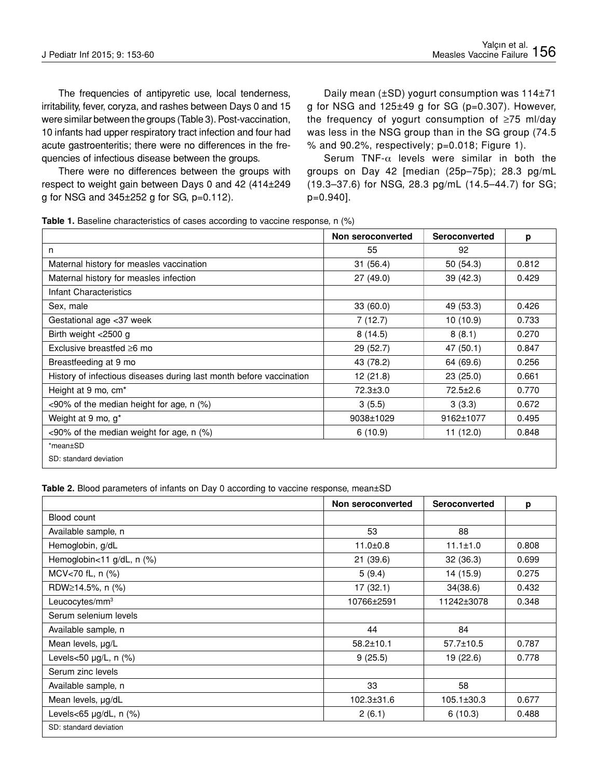The frequencies of antipyretic use, local tenderness, irritability, fever, coryza, and rashes between Days 0 and 15 were similar between the groups (Table 3). Post-vaccination, 10 infants had upper respiratory tract infection and four had acute gastroenteritis; there were no differences in the frequencies of infectious disease between the groups.

There were no differences between the groups with respect to weight gain between Days 0 and 42 (414±249 g for NSG and 345±252 g for SG, p=0.112).

Daily mean (±SD) yogurt consumption was 114±71 g for NSG and 125±49 g for SG (p=0.307). However, the frequency of yogurt consumption of ≥75 ml/day was less in the NSG group than in the SG group (74.5 % and 90.2%, respectively; p=0.018; Figure 1).

Serum TNF- $\alpha$  levels were similar in both the groups on Day 42 [median (25p–75p); 28.3 pg/mL (19.3–37.6) for NSG, 28.3 pg/mL (14.5–44.7) for SG; p=0.940].

| Table 1. Baseline characteristics of cases according to vaccine response, $n$ (%) |  |  |  |  |
|-----------------------------------------------------------------------------------|--|--|--|--|
|-----------------------------------------------------------------------------------|--|--|--|--|

|                                                                     | Non seroconverted | <b>Seroconverted</b> | p     |
|---------------------------------------------------------------------|-------------------|----------------------|-------|
| n                                                                   | 55                | 92                   |       |
| Maternal history for measles vaccination                            | 31(56.4)          | 50(54.3)             | 0.812 |
| Maternal history for measles infection                              | 27(49.0)          | 39 (42.3)            | 0.429 |
| Infant Characteristics                                              |                   |                      |       |
| Sex, male                                                           | 33(60.0)          | 49 (53.3)            | 0.426 |
| Gestational age <37 week                                            | 7(12.7)           | 10(10.9)             | 0.733 |
| Birth weight <2500 g                                                | 8(14.5)           | 8(8.1)               | 0.270 |
| Exclusive breastfed $\geq 6$ mo                                     | 29 (52.7)         | 47 (50.1)            | 0.847 |
| Breastfeeding at 9 mo                                               | 43 (78.2)         | 64 (69.6)            | 0.256 |
| History of infectious diseases during last month before vaccination | 12(21.8)          | 23(25.0)             | 0.661 |
| Height at 9 mo, cm <sup>*</sup>                                     | $72.3 \pm 3.0$    | $72.5 \pm 2.6$       | 0.770 |
| <90% of the median height for age, n (%)                            | 3(5.5)            | 3(3.3)               | 0.672 |
| Weight at 9 mo, g*                                                  | 9038±1029         | 9162±1077            | 0.495 |
| $\leq$ 90% of the median weight for age, n (%)                      | 6(10.9)           | 11(12.0)             | 0.848 |
| *mean±SD                                                            |                   |                      |       |
| SD: standard deviation                                              |                   |                      |       |

**Table 2.** Blood parameters of infants on Day 0 according to vaccine response, mean $\pm$ SD

|                            | Non seroconverted | Seroconverted    | p     |
|----------------------------|-------------------|------------------|-------|
| Blood count                |                   |                  |       |
| Available sample, n        | 53                | 88               |       |
| Hemoglobin, g/dL           | $11.0 \pm 0.8$    | $11.1 \pm 1.0$   | 0.808 |
| Hemoglobin<11 g/dL, n (%)  | 21(39.6)          | 32(36.3)         | 0.699 |
| MCV<70 fL, n (%)           | 5(9.4)            | 14 (15.9)        | 0.275 |
| RDW≥14.5%, n (%)           | 17(32.1)          | 34(38.6)         | 0.432 |
| Leucocytes/mm <sup>3</sup> | 10766±2591        | 11242±3078       | 0.348 |
| Serum selenium levels      |                   |                  |       |
| Available sample, n        | 44                | 84               |       |
| Mean levels, µg/L          | $58.2 \pm 10.1$   | $57.7 \pm 10.5$  | 0.787 |
| Levels<50 µg/L, n (%)      | 9(25.5)           | 19 (22.6)        | 0.778 |
| Serum zinc levels          |                   |                  |       |
| Available sample, n        | 33                | 58               |       |
| Mean levels, µg/dL         | 102.3±31.6        | $105.1 \pm 30.3$ | 0.677 |
| Levels<65 µg/dL, n (%)     | 2(6.1)            | 6(10.3)          | 0.488 |
| SD: standard deviation     |                   |                  |       |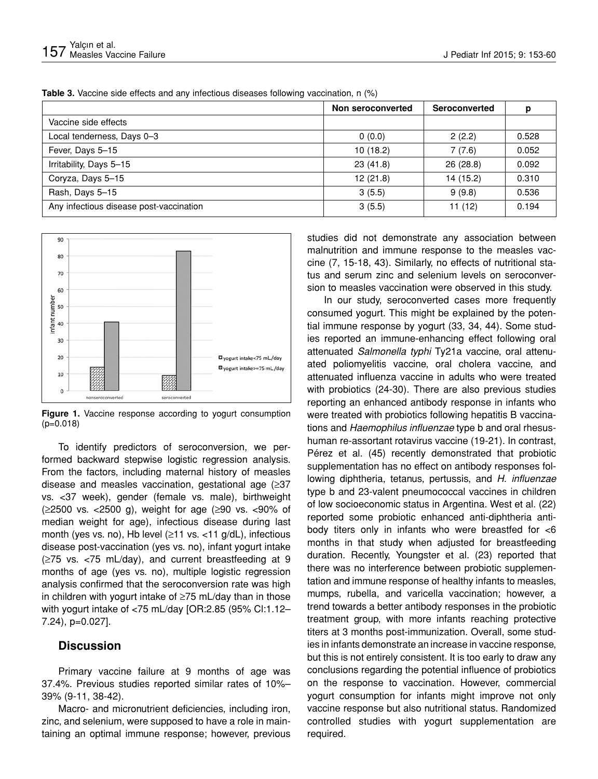|                                         | Non seroconverted | Seroconverted | р     |
|-----------------------------------------|-------------------|---------------|-------|
| Vaccine side effects                    |                   |               |       |
| Local tenderness, Days 0-3              | 0(0.0)            | 2(2.2)        | 0.528 |
| Fever, Days 5-15                        | 10(18.2)          | 7(7.6)        | 0.052 |
| Irritability, Days 5-15                 | 23(41.8)          | 26(28.8)      | 0.092 |
| Coryza, Days 5-15                       | 12(21.8)          | 14(15.2)      | 0.310 |
| Rash, Days 5-15                         | 3(5.5)            | 9(9.8)        | 0.536 |
| Any infectious disease post-vaccination | 3(5.5)            | 11(12)        | 0.194 |

**Table 3.** Vaccine side effects and any infectious diseases following vaccination, n (%)



**Figure 1.** Vaccine response according to yogurt consumption (p=0.018)

To identify predictors of seroconversion, we performed backward stepwise logistic regression analysis. From the factors, including maternal history of measles disease and measles vaccination, gestational age (≥37 vs. <37 week), gender (female vs. male), birthweight (≥2500 vs. <2500 g), weight for age (≥90 vs. <90% of median weight for age), infectious disease during last month (yes vs. no), Hb level  $(\geq 11 \text{ vs. } < 11 \text{ g/dL})$ , infectious disease post-vaccination (yes vs. no), infant yogurt intake (≥75 vs. <75 mL/day), and current breastfeeding at 9 months of age (yes vs. no), multiple logistic regression analysis confirmed that the seroconversion rate was high in children with yogurt intake of ≥75 mL/day than in those with yogurt intake of <75 mL/day [OR:2.85 (95% Cl:1.12– 7.24), p=0.027].

## **Discussion**

Primary vaccine failure at 9 months of age was 37.4%. Previous studies reported similar rates of 10%– 39% (9-11, 38-42).

Macro- and micronutrient deficiencies, including iron, zinc, and selenium, were supposed to have a role in maintaining an optimal immune response; however, previous studies did not demonstrate any association between malnutrition and immune response to the measles vaccine (7, 15-18, 43). Similarly, no effects of nutritional status and serum zinc and selenium levels on seroconversion to measles vaccination were observed in this study.

In our study, seroconverted cases more frequently consumed yogurt. This might be explained by the potential immune response by yogurt (33, 34, 44). Some studies reported an immune-enhancing effect following oral attenuated *Salmonella typhi* Ty21a vaccine, oral attenuated poliomyelitis vaccine, oral cholera vaccine, and attenuated influenza vaccine in adults who were treated with probiotics (24-30). There are also previous studies reporting an enhanced antibody response in infants who were treated with probiotics following hepatitis B vaccinations and *Haemophilus influenzae* type b and oral rhesushuman re-assortant rotavirus vaccine (19-21). In contrast, Pérez et al. (45) recently demonstrated that probiotic supplementation has no effect on antibody responses following diphtheria, tetanus, pertussis, and *H*. *influenzae*  type b and 23-valent pneumococcal vaccines in children of low socioeconomic status in Argentina. West et al. (22) reported some probiotic enhanced anti-diphtheria antibody titers only in infants who were breastfed for <6 months in that study when adjusted for breastfeeding duration. Recently, Youngster et al. (23) reported that there was no interference between probiotic supplementation and immune response of healthy infants to measles, mumps, rubella, and varicella vaccination; however, a trend towards a better antibody responses in the probiotic treatment group, with more infants reaching protective titers at 3 months post-immunization. Overall, some studies in infants demonstrate an increase in vaccine response, but this is not entirely consistent. It is too early to draw any conclusions regarding the potential influence of probiotics on the response to vaccination. However, commercial yogurt consumption for infants might improve not only vaccine response but also nutritional status. Randomized controlled studies with yogurt supplementation are required.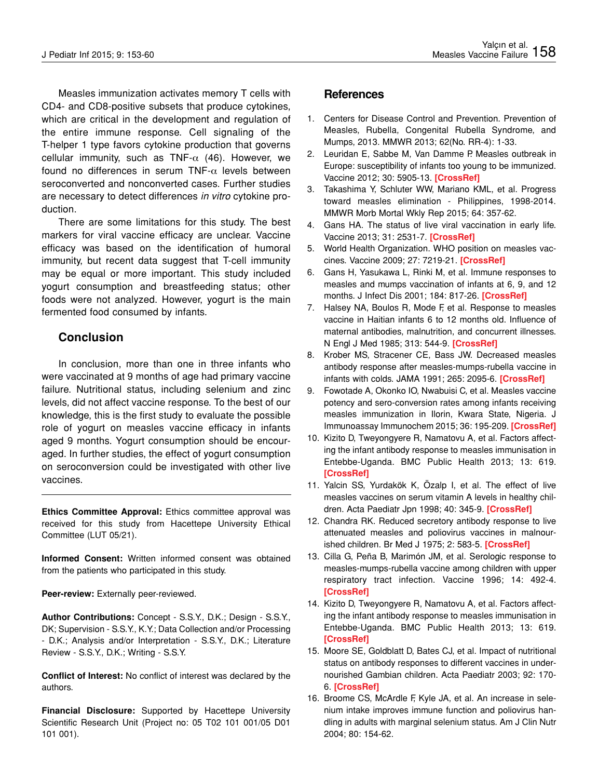Measles immunization activates memory T cells with CD4- and CD8-positive subsets that produce cytokines, which are critical in the development and regulation of the entire immune response. Cell signaling of the T-helper 1 type favors cytokine production that governs cellular immunity, such as TNF- $\alpha$  (46). However, we found no differences in serum TNF- $\alpha$  levels between seroconverted and nonconverted cases. Further studies are necessary to detect differences *in vitro* cytokine production.

There are some limitations for this study. The best markers for viral vaccine efficacy are unclear. Vaccine efficacy was based on the identification of humoral immunity, but recent data suggest that T-cell immunity may be equal or more important. This study included yogurt consumption and breastfeeding status; other foods were not analyzed. However, yogurt is the main fermented food consumed by infants.

## **Conclusion**

In conclusion, more than one in three infants who were vaccinated at 9 months of age had primary vaccine failure. Nutritional status, including selenium and zinc levels, did not affect vaccine response. To the best of our knowledge, this is the first study to evaluate the possible role of yogurt on measles vaccine efficacy in infants aged 9 months. Yogurt consumption should be encouraged. In further studies, the effect of yogurt consumption on seroconversion could be investigated with other live vaccines.

**Ethics Committee Approval:** Ethics committee approval was received for this study from Hacettepe University Ethical Committee (LUT 05/21).

**Informed Consent:** Written informed consent was obtained from the patients who participated in this study.

**Peer-review:** Externally peer-reviewed.

**Author Contributions:** Concept - S.S.Y., D.K.; Design - S.S.Y., DK; Supervision - S.S.Y., K.Y.; Data Collection and/or Processing - D.K.; Analysis and/or Interpretation - S.S.Y., D.K.; Literature Review - S.S.Y., D.K.; Writing - S.S.Y.

**Conflict of Interest:** No conflict of interest was declared by the authors.

**Financial Disclosure:** Supported by Hacettepe University Scientific Research Unit (Project no: 05 T02 101 001/05 D01 101 001).

## **References**

- 1. Centers for Disease Control and Prevention. Prevention of Measles, Rubella, Congenital Rubella Syndrome, and Mumps, 2013. MMWR 2013; 62(No. RR-4): 1-33.
- 2. Leuridan E, Sabbe M, Van Damme P. Measles outbreak in Europe: susceptibility of infants too young to be immunized. Vaccine 2012; 30: 5905-13. **[CrossRef]**
- 3. Takashima Y, Schluter WW, Mariano KML, et al. Progress toward measles elimination - Philippines, 1998-2014. MMWR Morb Mortal Wkly Rep 2015; 64: 357-62.
- 4. Gans HA. The status of live viral vaccination in early life. Vaccine 2013; 31: 2531-7. **[CrossRef]**
- 5. World Health Organization. WHO position on measles vaccines. Vaccine 2009; 27: 7219-21. **[CrossRef]**
- 6. Gans H, Yasukawa L, Rinki M, et al. Immune responses to measles and mumps vaccination of infants at 6, 9, and 12 months. J Infect Dis 2001; 184: 817-26. **[CrossRef]**
- 7. Halsey NA, Boulos R, Mode F, et al. Response to measles vaccine in Haitian infants 6 to 12 months old. Influence of maternal antibodies, malnutrition, and concurrent illnesses. N Engl J Med 1985; 313: 544-9. **[CrossRef]**
- 8. Krober MS, Stracener CE, Bass JW. Decreased measles antibody response after measles-mumps-rubella vaccine in infants with colds. JAMA 1991; 265: 2095-6. **[CrossRef]**
- 9. Fowotade A, Okonko IO, Nwabuisi C, et al. Measles vaccine potency and sero-conversion rates among infants receiving measles immunization in Ilorin, Kwara State, Nigeria. J Immunoassay Immunochem 2015; 36: 195-209. **[CrossRef]**
- 10. Kizito D, Tweyongyere R, Namatovu A, et al. Factors affecting the infant antibody response to measles immunisation in Entebbe-Uganda. BMC Public Health 2013; 13: 619. **[CrossRef]**
- 11. Yalcin SS, Yurdakök K, Özalp I, et al. The effect of live measles vaccines on serum vitamin A levels in healthy children. Acta Paediatr Jpn 1998; 40: 345-9. **[CrossRef]**
- 12. Chandra RK. Reduced secretory antibody response to live attenuated measles and poliovirus vaccines in malnourished children. Br Med J 1975; 2: 583-5. **[CrossRef]**
- 13. Cilla G, Peña B, Marimón JM, et al. Serologic response to measles-mumps-rubella vaccine among children with upper respiratory tract infection. Vaccine 1996; 14: 492-4. **[CrossRef]**
- 14. Kizito D, Tweyongyere R, Namatovu A, et al. Factors affecting the infant antibody response to measles immunisation in Entebbe-Uganda. BMC Public Health 2013; 13: 619. **[CrossRef]**
- 15. Moore SE, Goldblatt D, Bates CJ, et al. Impact of nutritional status on antibody responses to different vaccines in undernourished Gambian children. Acta Paediatr 2003; 92: 170- 6. **[CrossRef]**
- 16. Broome CS, McArdle F, Kyle JA, et al. An increase in selenium intake improves immune function and poliovirus handling in adults with marginal selenium status. Am J Clin Nutr 2004; 80: 154-62.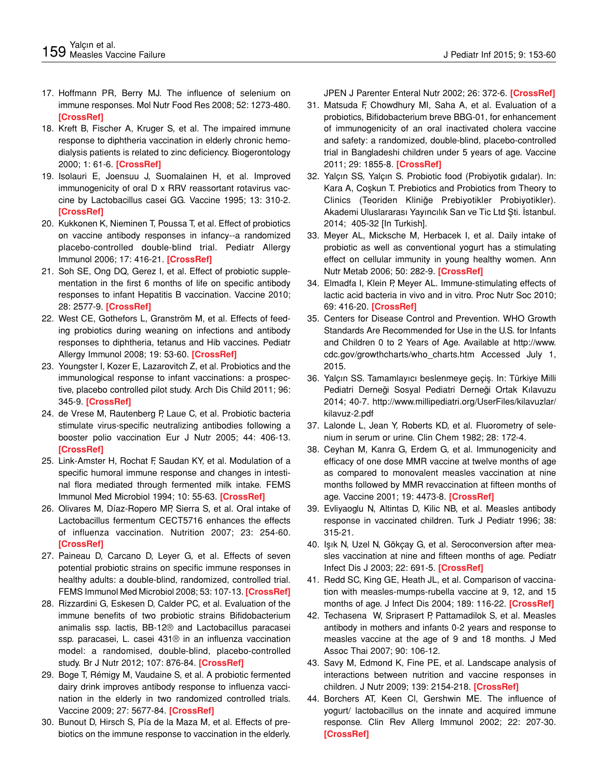- 17. Hoffmann PR, Berry MJ. The influence of selenium on immune responses. Mol Nutr Food Res 2008; 52: 1273-480. **[CrossRef]**
- 18. Kreft B, Fischer A, Kruger S, et al. The impaired immune response to diphtheria vaccination in elderly chronic hemodialysis patients is related to zinc deficiency. Biogerontology 2000; 1: 61-6. **[CrossRef]**
- 19. Isolauri E, Joensuu J, Suomalainen H, et al. Improved immunogenicity of oral D x RRV reassortant rotavirus vaccine by Lactobacillus casei GG. Vaccine 1995; 13: 310-2. **[CrossRef]**
- 20. Kukkonen K, Nieminen T, Poussa T, et al. Effect of probiotics on vaccine antibody responses in infancy--a randomized placebo-controlled double-blind trial. Pediatr Allergy Immunol 2006; 17: 416-21. **[CrossRef]**
- 21. Soh SE, Ong DQ, Gerez I, et al. Effect of probiotic supplementation in the first 6 months of life on specific antibody responses to infant Hepatitis B vaccination. Vaccine 2010; 28: 2577-9. **[CrossRef]**
- 22. West CE, Gothefors L, Granström M, et al. Effects of feeding probiotics during weaning on infections and antibody responses to diphtheria, tetanus and Hib vaccines. Pediatr Allergy Immunol 2008; 19: 53-60. **[CrossRef]**
- 23. Youngster I, Kozer E, Lazarovitch Z, et al. Probiotics and the immunological response to infant vaccinations: a prospective, placebo controlled pilot study. Arch Dis Child 2011; 96: 345-9. **[CrossRef]**
- 24. de Vrese M, Rautenberg P, Laue C, et al. Probiotic bacteria stimulate virus-specific neutralizing antibodies following a booster polio vaccination Eur J Nutr 2005; 44: 406-13. **[CrossRef]**
- 25. Link-Amster H, Rochat F, Saudan KY, et al. Modulation of a specific humoral immune response and changes in intestinal flora mediated through fermented milk intake. FEMS Immunol Med Microbiol 1994; 10: 55-63. **[CrossRef]**
- 26. Olivares M, Díaz-Ropero MP, Sierra S, et al. Oral intake of Lactobacillus fermentum CECT5716 enhances the effects of influenza vaccination. Nutrition 2007; 23: 254-60. **[CrossRef]**
- 27. Paineau D, Carcano D, Leyer G, et al. Effects of seven potential probiotic strains on specific immune responses in healthy adults: a double-blind, randomized, controlled trial. FEMS Immunol Med Microbiol 2008; 53: 107-13. **[CrossRef]**
- 28. Rizzardini G, Eskesen D, Calder PC, et al. Evaluation of the immune benefits of two probiotic strains Bifidobacterium animalis ssp. lactis, BB-12® and Lactobacillus paracasei ssp. paracasei, L. casei 431® in an influenza vaccination model: a randomised, double-blind, placebo-controlled study. Br J Nutr 2012; 107: 876-84. **[CrossRef]**
- 29. Boge T, Rémigy M, Vaudaine S, et al. A probiotic fermented dairy drink improves antibody response to influenza vaccination in the elderly in two randomized controlled trials. Vaccine 2009; 27: 5677-84. **[CrossRef]**
- 30. Bunout D, Hirsch S, Pía de la Maza M, et al. Effects of prebiotics on the immune response to vaccination in the elderly.

JPEN J Parenter Enteral Nutr 2002; 26: 372-6. **[CrossRef]**

- 31. Matsuda F, Chowdhury MI, Saha A, et al. Evaluation of a probiotics, Bifidobacterium breve BBG-01, for enhancement of immunogenicity of an oral inactivated cholera vaccine and safety: a randomized, double-blind, placebo-controlled trial in Bangladeshi children under 5 years of age. Vaccine 2011; 29: 1855-8. **[CrossRef]**
- 32. Yalçın SS, Yalçın S. Probiotic food (Probiyotik gıdalar). In: Kara A, Coşkun T. Prebiotics and Probiotics from Theory to Clinics (Teoriden Kliniğe Prebiyotikler Probiyotikler). Akademi Uluslararası Yayıncılık San ve Tic Ltd Şti. İstanbul. 2014; 405-32 [In Turkish].
- 33. Meyer AL, Micksche M, Herbacek I, et al. Daily intake of probiotic as well as conventional yogurt has a stimulating effect on cellular immunity in young healthy women. Ann Nutr Metab 2006; 50: 282-9. **[CrossRef]**
- 34. Elmadfa I, Klein P, Meyer AL. Immune-stimulating effects of lactic acid bacteria in vivo and in vitro. Proc Nutr Soc 2010; 69: 416-20. **[CrossRef]**
- 35. Centers for Disease Control and Prevention. WHO Growth Standards Are Recommended for Use in the U.S. for Infants and Children 0 to 2 Years of Age. Available at http://www. cdc.gov/growthcharts/who\_charts.htm Accessed July 1, 2015.
- 36. Yalçın SS. Tamamlayıcı beslenmeye geçiş. In: Türkiye Milli Pediatri Derneği Sosyal Pediatri Derneği Ortak Kılavuzu 2014; 40-7. http://www.millipediatri.org/UserFiles/kilavuzlar/ kilavuz-2.pdf
- 37. Lalonde L, Jean Y, Roberts KD, et al. Fluorometry of selenium in serum or urine. Clin Chem 1982; 28: 172-4.
- 38. Ceyhan M, Kanra G, Erdem G, et al. Immunogenicity and efficacy of one dose MMR vaccine at twelve months of age as compared to monovalent measles vaccination at nine months followed by MMR revaccination at fifteen months of age. Vaccine 2001; 19: 4473-8. **[CrossRef]**
- 39. Evliyaoglu N, Altintas D, Kilic NB, et al. Measles antibody response in vaccinated children. Turk J Pediatr 1996; 38: 315-21.
- 40. Işık N, Uzel N, Gökçay G, et al. Seroconversion after measles vaccination at nine and fifteen months of age. Pediatr Infect Dis J 2003; 22: 691-5. **[CrossRef]**
- 41. Redd SC, King GE, Heath JL, et al. Comparison of vaccination with measles-mumps-rubella vaccine at 9, 12, and 15 months of age. J Infect Dis 2004; 189: 116-22. **[CrossRef]**
- 42. Techasena W, Sriprasert P, Pattamadilok S, et al. Measles antibody in mothers and infants 0-2 years and response to measles vaccine at the age of 9 and 18 months. J Med Assoc Thai 2007; 90: 106-12.
- 43. Savy M, Edmond K, Fine PE, et al. Landscape analysis of interactions between nutrition and vaccine responses in children. J Nutr 2009; 139: 2154-218. **[CrossRef]**
- 44. Borchers AT, Keen Cl, Gershwin ME. The influence of yogurt/ lactobacillus on the innate and acquired immune response. Clin Rev Allerg Immunol 2002; 22: 207-30. **[CrossRef]**